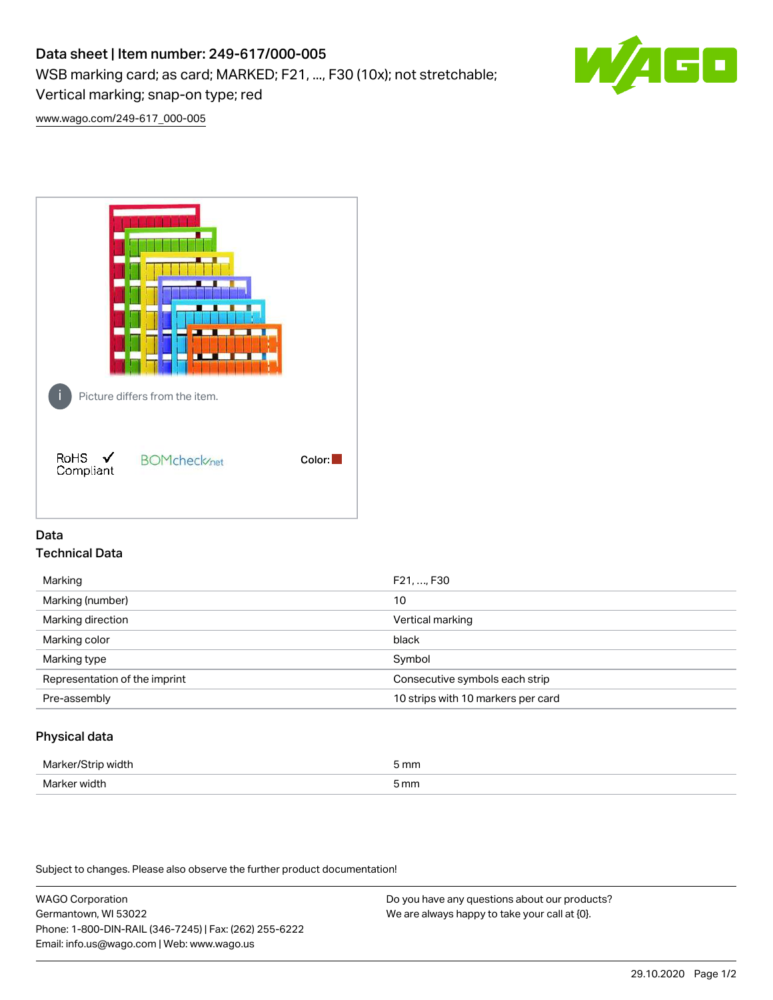# Data sheet | Item number: 249-617/000-005

WSB marking card; as card; MARKED; F21, ..., F30 (10x); not stretchable;

Vertical marking; snap-on type; red

[www.wago.com/249-617\\_000-005](http://www.wago.com/249-617_000-005)



## Data Technical Data

| Marking                       | F21, , F30                         |
|-------------------------------|------------------------------------|
| Marking (number)              | 10                                 |
| Marking direction             | Vertical marking                   |
| Marking color                 | black                              |
| Marking type                  | Symbol                             |
| Representation of the imprint | Consecutive symbols each strip     |
| Pre-assembly                  | 10 strips with 10 markers per card |
|                               |                                    |

## Physical data

| Marker/Strip width | 5 mm            |
|--------------------|-----------------|
| Marker width       | 5 <sub>mm</sub> |

Subject to changes. Please also observe the further product documentation!

WAGO Corporation Germantown, WI 53022 Phone: 1-800-DIN-RAIL (346-7245) | Fax: (262) 255-6222 Email: info.us@wago.com | Web: www.wago.us

Do you have any questions about our products? We are always happy to take your call at {0}.